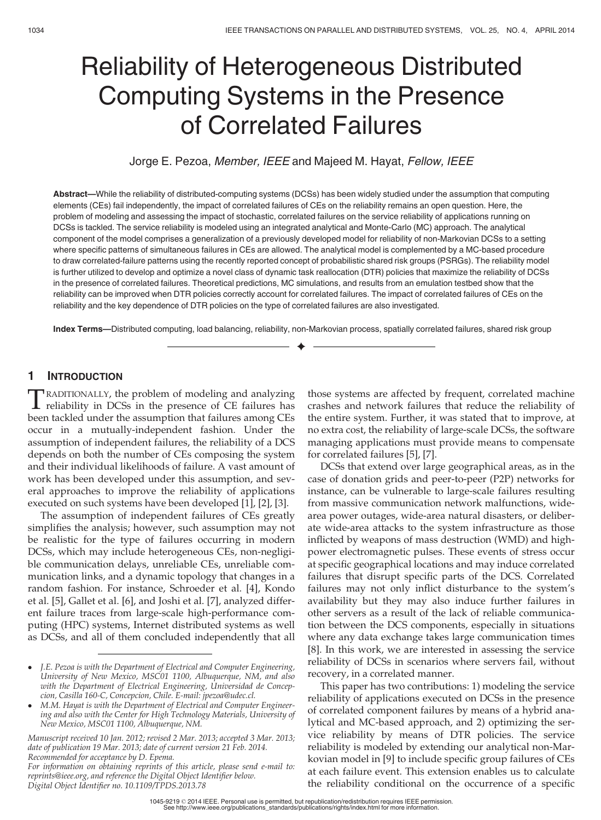# Reliability of Heterogeneous Distributed Computing Systems in the Presence of Correlated Failures

## Jorge E. Pezoa, Member, IEEE and Majeed M. Hayat, Fellow, IEEE

Abstract—While the reliability of distributed-computing systems (DCSs) has been widely studied under the assumption that computing elements (CEs) fail independently, the impact of correlated failures of CEs on the reliability remains an open question. Here, the problem of modeling and assessing the impact of stochastic, correlated failures on the service reliability of applications running on DCSs is tackled. The service reliability is modeled using an integrated analytical and Monte-Carlo (MC) approach. The analytical component of the model comprises a generalization of a previously developed model for reliability of non-Markovian DCSs to a setting where specific patterns of simultaneous failures in CEs are allowed. The analytical model is complemented by a MC-based procedure to draw correlated-failure patterns using the recently reported concept of probabilistic shared risk groups (PSRGs). The reliability model is further utilized to develop and optimize a novel class of dynamic task reallocation (DTR) policies that maximize the reliability of DCSs in the presence of correlated failures. Theoretical predictions, MC simulations, and results from an emulation testbed show that the reliability can be improved when DTR policies correctly account for correlated failures. The impact of correlated failures of CEs on the reliability and the key dependence of DTR policies on the type of correlated failures are also investigated.

Index Terms—Distributed computing, load balancing, reliability, non-Markovian process, spatially correlated failures, shared risk group  $\ddotmark$ 

## 1 INTRODUCTION

TRADITIONALLY, the problem of modeling and analyzing<br>reliability in DCSs in the presence of CE failures has<br>hear to also and or the contraction that failures on an a CE been tackled under the assumption that failures among CEs occur in a mutually-independent fashion. Under the assumption of independent failures, the reliability of a DCS depends on both the number of CEs composing the system and their individual likelihoods of failure. A vast amount of work has been developed under this assumption, and several approaches to improve the reliability of applications executed on such systems have been developed [1], [2], [3].

The assumption of independent failures of CEs greatly simplifies the analysis; however, such assumption may not be realistic for the type of failures occurring in modern DCSs, which may include heterogeneous CEs, non-negligible communication delays, unreliable CEs, unreliable communication links, and a dynamic topology that changes in a random fashion. For instance, Schroeder et al. [4], Kondo et al. [5], Gallet et al. [6], and Joshi et al. [7], analyzed different failure traces from large-scale high-performance computing (HPC) systems, Internet distributed systems as well as DCSs, and all of them concluded independently that all

those systems are affected by frequent, correlated machine crashes and network failures that reduce the reliability of the entire system. Further, it was stated that to improve, at no extra cost, the reliability of large-scale DCSs, the software managing applications must provide means to compensate for correlated failures [5], [7].

DCSs that extend over large geographical areas, as in the case of donation grids and peer-to-peer (P2P) networks for instance, can be vulnerable to large-scale failures resulting from massive communication network malfunctions, widearea power outages, wide-area natural disasters, or deliberate wide-area attacks to the system infrastructure as those inflicted by weapons of mass destruction (WMD) and highpower electromagnetic pulses. These events of stress occur at specific geographical locations and may induce correlated failures that disrupt specific parts of the DCS. Correlated failures may not only inflict disturbance to the system's availability but they may also induce further failures in other servers as a result of the lack of reliable communication between the DCS components, especially in situations where any data exchange takes large communication times [8]. In this work, we are interested in assessing the service reliability of DCSs in scenarios where servers fail, without recovery, in a correlated manner.

This paper has two contributions: 1) modeling the service reliability of applications executed on DCSs in the presence of correlated component failures by means of a hybrid analytical and MC-based approach, and 2) optimizing the service reliability by means of DTR policies. The service reliability is modeled by extending our analytical non-Markovian model in [9] to include specific group failures of CEs at each failure event. This extension enables us to calculate the reliability conditional on the occurrence of a specific

<sup>-</sup> J.E. Pezoa is with the Department of Electrical and Computer Engineering, University of New Mexico, MSC01 1100, Albuquerque, NM, and also with the Department of Electrical Engineering, Universidad de Concepcion, Casilla 160-C, Concepcion, Chile. E-mail: jpezoa@udec.cl.

<sup>-</sup> M.M. Hayat is with the Department of Electrical and Computer Engineering and also with the Center for High Technology Materials, University of New Mexico, MSC01 1100, Albuquerque, NM.

Manuscript received 10 Jan. 2012; revised 2 Mar. 2013; accepted 3 Mar. 2013; date of publication 19 Mar. 2013; date of current version 21 Feb. 2014. Recommended for acceptance by D. Epema.

For information on obtaining reprints of this article, please send e-mail to: reprints@ieee.org, and reference the Digital Object Identifier below. Digital Object Identifier no. 10.1109/TPDS.2013.78

<sup>1045-9219 © 2014</sup> IEEE. Personal use is permitted, but republication/redistribution requires IEEE permission. See http://www.ieee.org/publications\_standards/publications/rights/index.html for more information.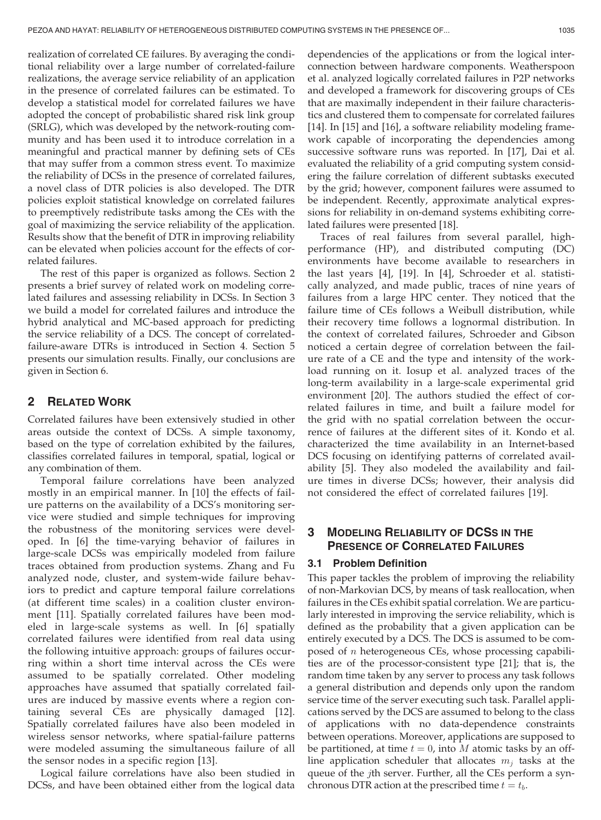realization of correlated CE failures. By averaging the conditional reliability over a large number of correlated-failure realizations, the average service reliability of an application in the presence of correlated failures can be estimated. To develop a statistical model for correlated failures we have adopted the concept of probabilistic shared risk link group (SRLG), which was developed by the network-routing community and has been used it to introduce correlation in a meaningful and practical manner by defining sets of CEs that may suffer from a common stress event. To maximize the reliability of DCSs in the presence of correlated failures, a novel class of DTR policies is also developed. The DTR policies exploit statistical knowledge on correlated failures to preemptively redistribute tasks among the CEs with the goal of maximizing the service reliability of the application. Results show that the benefit of DTR in improving reliability can be elevated when policies account for the effects of correlated failures.

The rest of this paper is organized as follows. Section 2 presents a brief survey of related work on modeling correlated failures and assessing reliability in DCSs. In Section 3 we build a model for correlated failures and introduce the hybrid analytical and MC-based approach for predicting the service reliability of a DCS. The concept of correlatedfailure-aware DTRs is introduced in Section 4. Section 5 presents our simulation results. Finally, our conclusions are given in Section 6.

## 2 RELATED WORK

Correlated failures have been extensively studied in other areas outside the context of DCSs. A simple taxonomy, based on the type of correlation exhibited by the failures, classifies correlated failures in temporal, spatial, logical or any combination of them.

Temporal failure correlations have been analyzed mostly in an empirical manner. In [10] the effects of failure patterns on the availability of a DCS's monitoring service were studied and simple techniques for improving the robustness of the monitoring services were developed. In [6] the time-varying behavior of failures in large-scale DCSs was empirically modeled from failure traces obtained from production systems. Zhang and Fu analyzed node, cluster, and system-wide failure behaviors to predict and capture temporal failure correlations (at different time scales) in a coalition cluster environment [11]. Spatially correlated failures have been modeled in large-scale systems as well. In [6] spatially correlated failures were identified from real data using the following intuitive approach: groups of failures occurring within a short time interval across the CEs were assumed to be spatially correlated. Other modeling approaches have assumed that spatially correlated failures are induced by massive events where a region containing several CEs are physically damaged [12]. Spatially correlated failures have also been modeled in wireless sensor networks, where spatial-failure patterns were modeled assuming the simultaneous failure of all the sensor nodes in a specific region [13].

Logical failure correlations have also been studied in DCSs, and have been obtained either from the logical data

dependencies of the applications or from the logical interconnection between hardware components. Weatherspoon et al. analyzed logically correlated failures in P2P networks and developed a framework for discovering groups of CEs that are maximally independent in their failure characteristics and clustered them to compensate for correlated failures [14]. In [15] and [16], a software reliability modeling framework capable of incorporating the dependencies among successive software runs was reported. In [17], Dai et al. evaluated the reliability of a grid computing system considering the failure correlation of different subtasks executed by the grid; however, component failures were assumed to be independent. Recently, approximate analytical expressions for reliability in on-demand systems exhibiting correlated failures were presented [18].

Traces of real failures from several parallel, highperformance (HP), and distributed computing (DC) environments have become available to researchers in the last years [4], [19]. In [4], Schroeder et al. statistically analyzed, and made public, traces of nine years of failures from a large HPC center. They noticed that the failure time of CEs follows a Weibull distribution, while their recovery time follows a lognormal distribution. In the context of correlated failures, Schroeder and Gibson noticed a certain degree of correlation between the failure rate of a CE and the type and intensity of the workload running on it. Iosup et al. analyzed traces of the long-term availability in a large-scale experimental grid environment [20]. The authors studied the effect of correlated failures in time, and built a failure model for the grid with no spatial correlation between the occurrence of failures at the different sites of it. Kondo et al. characterized the time availability in an Internet-based DCS focusing on identifying patterns of correlated availability [5]. They also modeled the availability and failure times in diverse DCSs; however, their analysis did not considered the effect of correlated failures [19].

# 3 MODELING RELIABILITY OF DCSS IN THE PRESENCE OF CORRELATED FAILURES

## 3.1 Problem Definition

This paper tackles the problem of improving the reliability of non-Markovian DCS, by means of task reallocation, when failures in the CEs exhibit spatial correlation. We are particularly interested in improving the service reliability, which is defined as the probability that a given application can be entirely executed by a DCS. The DCS is assumed to be composed of  $n$  heterogeneous CEs, whose processing capabilities are of the processor-consistent type [21]; that is, the random time taken by any server to process any task follows a general distribution and depends only upon the random service time of the server executing such task. Parallel applications served by the DCS are assumed to belong to the class of applications with no data-dependence constraints between operations. Moreover, applications are supposed to be partitioned, at time  $t = 0$ , into M atomic tasks by an offline application scheduler that allocates  $m_i$  tasks at the queue of the jth server. Further, all the CEs perform a synchronous DTR action at the prescribed time  $t = t_b$ .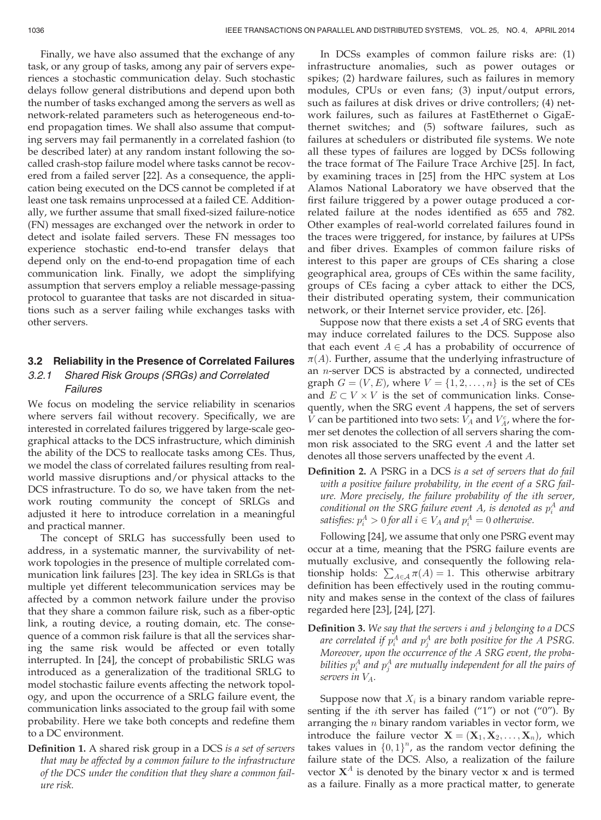Finally, we have also assumed that the exchange of any task, or any group of tasks, among any pair of servers experiences a stochastic communication delay. Such stochastic delays follow general distributions and depend upon both the number of tasks exchanged among the servers as well as network-related parameters such as heterogeneous end-toend propagation times. We shall also assume that computing servers may fail permanently in a correlated fashion (to be described later) at any random instant following the socalled crash-stop failure model where tasks cannot be recovered from a failed server [22]. As a consequence, the application being executed on the DCS cannot be completed if at least one task remains unprocessed at a failed CE. Additionally, we further assume that small fixed-sized failure-notice (FN) messages are exchanged over the network in order to detect and isolate failed servers. These FN messages too experience stochastic end-to-end transfer delays that depend only on the end-to-end propagation time of each communication link. Finally, we adopt the simplifying assumption that servers employ a reliable message-passing protocol to guarantee that tasks are not discarded in situations such as a server failing while exchanges tasks with other servers.

### 3.2 Reliability in the Presence of Correlated Failures

## 3.2.1 Shared Risk Groups (SRGs) and Correlated Failures

We focus on modeling the service reliability in scenarios where servers fail without recovery. Specifically, we are interested in correlated failures triggered by large-scale geographical attacks to the DCS infrastructure, which diminish the ability of the DCS to reallocate tasks among CEs. Thus, we model the class of correlated failures resulting from realworld massive disruptions and/or physical attacks to the DCS infrastructure. To do so, we have taken from the network routing community the concept of SRLGs and adjusted it here to introduce correlation in a meaningful and practical manner.

The concept of SRLG has successfully been used to address, in a systematic manner, the survivability of network topologies in the presence of multiple correlated communication link failures [23]. The key idea in SRLGs is that multiple yet different telecommunication services may be affected by a common network failure under the proviso that they share a common failure risk, such as a fiber-optic link, a routing device, a routing domain, etc. The consequence of a common risk failure is that all the services sharing the same risk would be affected or even totally interrupted. In [24], the concept of probabilistic SRLG was introduced as a generalization of the traditional SRLG to model stochastic failure events affecting the network topology, and upon the occurrence of a SRLG failure event, the communication links associated to the group fail with some probability. Here we take both concepts and redefine them to a DC environment.

Definition 1. A shared risk group in a DCS is a set of servers that may be affected by a common failure to the infrastructure of the DCS under the condition that they share a common failure risk.

In DCSs examples of common failure risks are: (1) infrastructure anomalies, such as power outages or spikes; (2) hardware failures, such as failures in memory modules, CPUs or even fans; (3) input/output errors, such as failures at disk drives or drive controllers; (4) network failures, such as failures at FastEthernet o GigaEthernet switches; and (5) software failures, such as failures at schedulers or distributed file systems. We note all these types of failures are logged by DCSs following the trace format of The Failure Trace Archive [25]. In fact, by examining traces in [25] from the HPC system at Los Alamos National Laboratory we have observed that the first failure triggered by a power outage produced a correlated failure at the nodes identified as 655 and 782. Other examples of real-world correlated failures found in the traces were triggered, for instance, by failures at UPSs and fiber drives. Examples of common failure risks of interest to this paper are groups of CEs sharing a close geographical area, groups of CEs within the same facility, groups of CEs facing a cyber attack to either the DCS, their distributed operating system, their communication network, or their Internet service provider, etc. [26].

Suppose now that there exists a set  $A$  of SRG events that may induce correlated failures to the DCS. Suppose also that each event  $A \in \mathcal{A}$  has a probability of occurrence of  $\pi(A)$ . Further, assume that the underlying infrastructure of an n-server DCS is abstracted by a connected, undirected graph  $G = (V, E)$ , where  $V = \{1, 2, \ldots, n\}$  is the set of CEs and  $E \subset V \times V$  is the set of communication links. Consequently, when the SRG event A happens, the set of servers *V* can be partitioned into two sets:  $V_A$  and  $V_A^c$ , where the former set denotes the collection of all servers sharing the common risk associated to the SRG event A and the latter set denotes all those servers unaffected by the event A.

Definition 2. A PSRG in a DCS is a set of servers that do fail with a positive failure probability, in the event of a SRG failure. More precisely, the failure probability of the ith server, conditional on the SRG failure event  $A$ , is denoted as  $p_i^A$  and satisfies:  $p_i^A > 0$  for all  $i \in V_A$  and  $p_i^A = 0$  otherwise.

Following [24], we assume that only one PSRG event may occur at a time, meaning that the PSRG failure events are mutually exclusive, and consequently the following relationship holds:  $\sum_{A \in \mathcal{A}} \pi(A) = 1$ . This otherwise arbitrary definition has been effectively used in the routing community and makes sense in the context of the class of failures regarded here [23], [24], [27].

Definition 3. We say that the servers *i* and *j* belonging to a DCS are correlated if  $p_i^A$  and  $p_j^A$  are both positive for the  $A$  PSRG. Moreover, upon the occurrence of the A SRG event, the probabilities  $p_i^A$  and  $p_j^A$  are mutually independent for all the pairs of servers in  $V_A$ .

Suppose now that  $X_i$  is a binary random variable representing if the ith server has failed ("1") or not ("0"). By arranging the  $n$  binary random variables in vector form, we introduce the failure vector  $\mathbf{X} = (\mathbf{X}_1, \mathbf{X}_2, \dots, \mathbf{X}_n)$ , which takes values in  ${0,1}^n$ , as the random vector defining the failure state of the DCS. Also, a realization of the failure vector  $X^A$  is denoted by the binary vector x and is termed as a failure. Finally as a more practical matter, to generate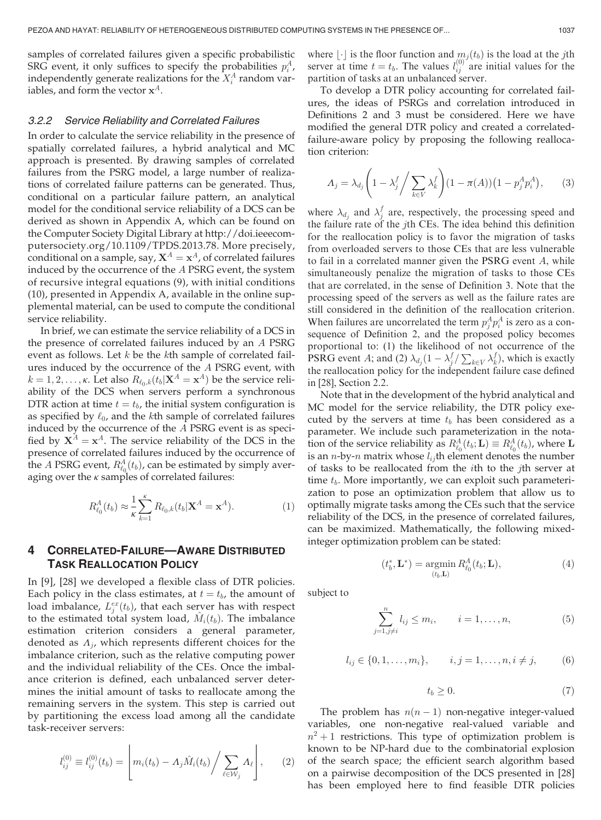samples of correlated failures given a specific probabilistic SRG event, it only suffices to specify the probabilities  $p_i^A$ , independently generate realizations for the  $X_i^A$  random variables, and form the vector  $x^A$ .

#### 3.2.2 Service Reliability and Correlated Failures

In order to calculate the service reliability in the presence of spatially correlated failures, a hybrid analytical and MC approach is presented. By drawing samples of correlated failures from the PSRG model, a large number of realizations of correlated failure patterns can be generated. Thus, conditional on a particular failure pattern, an analytical model for the conditional service reliability of a DCS can be derived as shown in Appendix A, which can be found on the Computer Society Digital Library at http://doi.ieeecomputersociety.org/10.1109/TPDS.2013.78. More precisely, conditional on a sample, say,  $X^A = x^A$ , of correlated failures induced by the occurrence of the A PSRG event, the system of recursive integral equations (9), with initial conditions (10), presented in Appendix A, available in the online supplemental material, can be used to compute the conditional service reliability.

In brief, we can estimate the service reliability of a DCS in the presence of correlated failures induced by an A PSRG event as follows. Let  $k$  be the  $k$ th sample of correlated failures induced by the occurrence of the A PSRG event, with  $k = 1, 2, \ldots, \kappa$ . Let also  $R_{\ell_0, k}(t_b|\mathbf{X}^A = \mathbf{x}^A)$  be the service reliability of the DCS when servers perform a synchronous DTR action at time  $t = t_b$ , the initial system configuration is as specified by  $\ell_0$ , and the kth sample of correlated failures induced by the occurrence of the A PSRG event is as specified by  $X^A = x^A$ . The service reliability of the DCS in the presence of correlated failures induced by the occurrence of the A PSRG event,  $R_{\ell_0}^A(t_b)$ , can be estimated by simply averaging over the  $\kappa$  samples of correlated failures:

$$
R_{\ell_0}^A(t_b) \approx \frac{1}{\kappa} \sum_{k=1}^{\kappa} R_{\ell_0,k}(t_b | \mathbf{X}^A = \mathbf{x}^A). \tag{1}
$$

## 4 CORRELATED-FAILURE—AWARE DISTRIBUTED TASK REALLOCATION POLICY

In [9], [28] we developed a flexible class of DTR policies. Each policy in the class estimates, at  $t = t_b$ , the amount of load imbalance,  $L_j^{ex}(t_b)$ , that each server has with respect to the estimated total system load,  $\tilde{M}_i(t_b)$ . The imbalance estimation criterion considers a general parameter, denoted as  $\Lambda_i$ , which represents different choices for the imbalance criterion, such as the relative computing power and the individual reliability of the CEs. Once the imbalance criterion is defined, each unbalanced server determines the initial amount of tasks to reallocate among the remaining servers in the system. This step is carried out by partitioning the excess load among all the candidate task-receiver servers:

$$
l_{ij}^{(0)} \equiv l_{ij}^{(0)}(t_b) = \left[ m_i(t_b) - A_j \hat{M}_i(t_b) / \sum_{\ell \in \mathcal{W}_j} A_\ell \right],
$$
 (2)

where  $|\cdot|$  is the floor function and  $m_i(t_b)$  is the load at the jth server at time  $t = t_b$ . The values  $l_{ij}^{(0)}$  are initial values for the partition of tasks at an unbalanced server.

To develop a DTR policy accounting for correlated failures, the ideas of PSRGs and correlation introduced in Definitions 2 and 3 must be considered. Here we have modified the general DTR policy and created a correlatedfailure-aware policy by proposing the following reallocation criterion:

$$
\Lambda_j = \lambda_{d_j} \left( 1 - \lambda_j^f / \sum_{k \in V} \lambda_k^f \right) (1 - \pi(A)) \left( 1 - p_j^A p_i^A \right), \tag{3}
$$

where  $\lambda_{d_j}$  and  $\lambda_j^f$  are, respectively, the processing speed and the failure rate of the jth CEs. The idea behind this definition for the reallocation policy is to favor the migration of tasks from overloaded servers to those CEs that are less vulnerable to fail in a correlated manner given the PSRG event A, while simultaneously penalize the migration of tasks to those CEs that are correlated, in the sense of Definition 3. Note that the processing speed of the servers as well as the failure rates are still considered in the definition of the reallocation criterion. When failures are uncorrelated the term  $p_j^A p_i^A$  is zero as a consequence of Definition 2, and the proposed policy becomes proportional to: (1) the likelihood of not occurrence of the **PSRG** event A; and (2)  $\lambda_{d_j} (1 - \lambda_j^f / \sum_{k \in V} \lambda_k^f)$ , which is exactly the reallocation policy for the independent failure case defined in [28], Section 2.2.

Note that in the development of the hybrid analytical and MC model for the service reliability, the DTR policy executed by the servers at time  $t_b$  has been considered as a parameter. We include such parameterization in the notation of the service reliability as  $R_{\ell_0}^A(t_b; \mathbf{L}) \equiv R_{\ell_0}^A(t_b)$ , where  $\mathbf{L}$ is an *n*-by-*n* matrix whose  $l_{ij}$ th element denotes the number of tasks to be reallocated from the  $i$ th to the  $j$ th server at time  $t_b$ . More importantly, we can exploit such parameterization to pose an optimization problem that allow us to optimally migrate tasks among the CEs such that the service reliability of the DCS, in the presence of correlated failures, can be maximized. Mathematically, the following mixedinteger optimization problem can be stated:

$$
(t_b^*, \mathbf{L}^*) = \underset{(t_b, \mathbf{L})}{\operatorname{argmin}} R_{\ell_0}^A(t_b; \mathbf{L}), \tag{4}
$$

subject to

$$
\sum_{j=1, j \neq i}^{n} l_{ij} \le m_i, \qquad i = 1, \dots, n,
$$
 (5)

$$
l_{ij} \in \{0, 1, \dots, m_i\}, \qquad i, j = 1, \dots, n, i \neq j,
$$
 (6)

$$
t_b \ge 0. \tag{7}
$$

The problem has  $n(n-1)$  non-negative integer-valued variables, one non-negative real-valued variable and  $n^2 + 1$  restrictions. This type of optimization problem is known to be NP-hard due to the combinatorial explosion of the search space; the efficient search algorithm based on a pairwise decomposition of the DCS presented in [28] has been employed here to find feasible DTR policies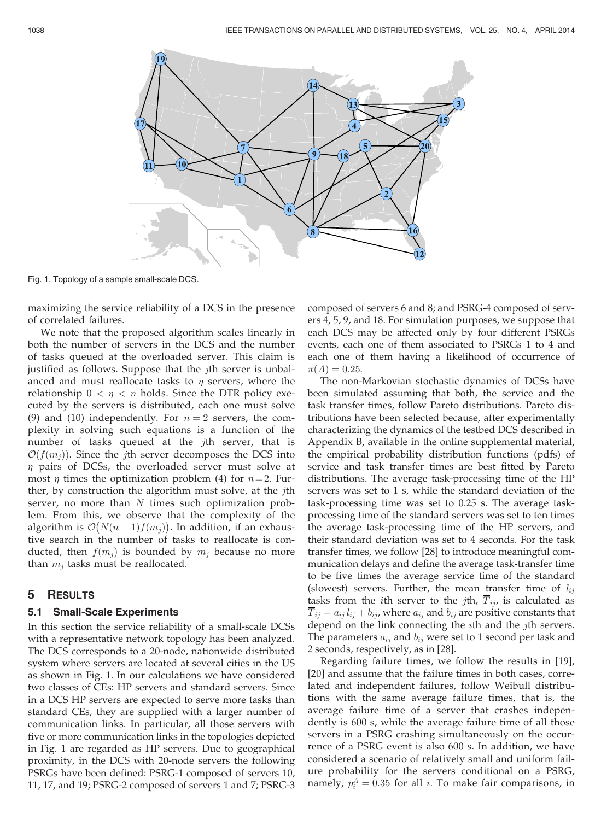

Fig. 1. Topology of a sample small-scale DCS.

maximizing the service reliability of a DCS in the presence of correlated failures.

We note that the proposed algorithm scales linearly in both the number of servers in the DCS and the number of tasks queued at the overloaded server. This claim is justified as follows. Suppose that the *j*th server is unbalanced and must reallocate tasks to  $\eta$  servers, where the relationship  $0 < \eta < n$  holds. Since the DTR policy executed by the servers is distributed, each one must solve (9) and (10) independently. For  $n = 2$  servers, the complexity in solving such equations is a function of the number of tasks queued at the jth server, that is  $\mathcal{O}(f(m_i))$ . Since the jth server decomposes the DCS into  $\eta$  pairs of DCSs, the overloaded server must solve at most  $\eta$  times the optimization problem (4) for  $n=2$ . Further, by construction the algorithm must solve, at the jth server, no more than  $N$  times such optimization problem. From this, we observe that the complexity of the algorithm is  $\mathcal{O}(N(n-1)f(m_j))$ . In addition, if an exhaustive search in the number of tasks to reallocate is conducted, then  $f(m_i)$  is bounded by  $m_i$  because no more than  $m_j$  tasks must be reallocated.

## 5 RESULTS

#### 5.1 Small-Scale Experiments

In this section the service reliability of a small-scale DCSs with a representative network topology has been analyzed. The DCS corresponds to a 20-node, nationwide distributed system where servers are located at several cities in the US as shown in Fig. 1. In our calculations we have considered two classes of CEs: HP servers and standard servers. Since in a DCS HP servers are expected to serve more tasks than standard CEs, they are supplied with a larger number of communication links. In particular, all those servers with five or more communication links in the topologies depicted in Fig. 1 are regarded as HP servers. Due to geographical proximity, in the DCS with 20-node servers the following PSRGs have been defined: PSRG-1 composed of servers 10, 11, 17, and 19; PSRG-2 composed of servers 1 and 7; PSRG-3 composed of servers 6 and 8; and PSRG-4 composed of servers 4, 5, 9, and 18. For simulation purposes, we suppose that each DCS may be affected only by four different PSRGs events, each one of them associated to PSRGs 1 to 4 and each one of them having a likelihood of occurrence of  $\pi(A) = 0.25.$ 

The non-Markovian stochastic dynamics of DCSs have been simulated assuming that both, the service and the task transfer times, follow Pareto distributions. Pareto distributions have been selected because, after experimentally characterizing the dynamics of the testbed DCS described in Appendix B, available in the online supplemental material, the empirical probability distribution functions (pdfs) of service and task transfer times are best fitted by Pareto distributions. The average task-processing time of the HP servers was set to 1 s, while the standard deviation of the task-processing time was set to 0.25 s. The average taskprocessing time of the standard servers was set to ten times the average task-processing time of the HP servers, and their standard deviation was set to 4 seconds. For the task transfer times, we follow [28] to introduce meaningful communication delays and define the average task-transfer time to be five times the average service time of the standard (slowest) servers. Further, the mean transfer time of  $l_{ij}$ tasks from the *i*th server to the *j*th,  $\overline{T}_{ij}$ , is calculated as  $T_{ij} = a_{ij} l_{ij} + b_{ij}$ , where  $a_{ij}$  and  $b_{ij}$  are positive constants that depend on the link connecting the *i*th and the *j*th servers. The parameters  $a_{ij}$  and  $b_{ij}$  were set to 1 second per task and 2 seconds, respectively, as in [28].

Regarding failure times, we follow the results in [19], [20] and assume that the failure times in both cases, correlated and independent failures, follow Weibull distributions with the same average failure times, that is, the average failure time of a server that crashes independently is 600 s, while the average failure time of all those servers in a PSRG crashing simultaneously on the occurrence of a PSRG event is also 600 s. In addition, we have considered a scenario of relatively small and uniform failure probability for the servers conditional on a PSRG, namely,  $p_i^A = 0.35$  for all i. To make fair comparisons, in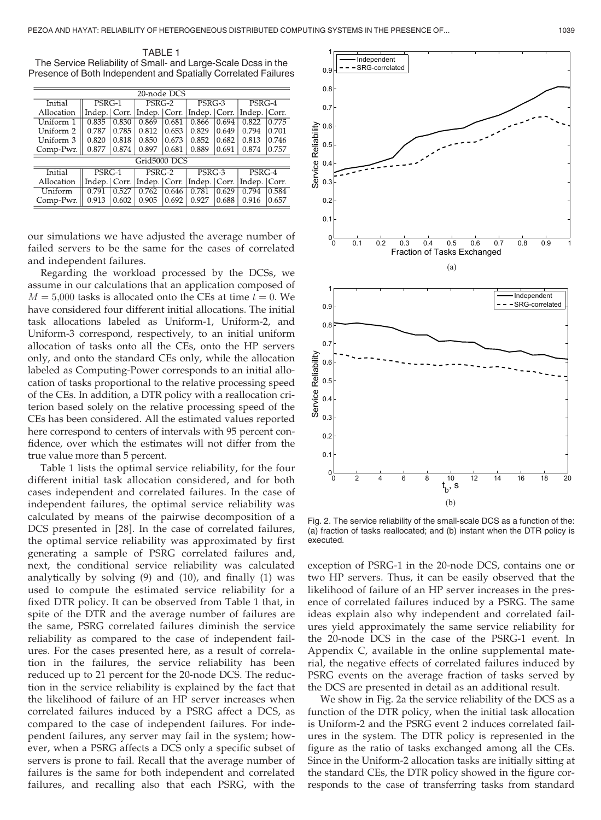TABLE 1 The Service Reliability of Small- and Large-Scale Dcss in the Presence of Both Independent and Spatially Correlated Failures

| 20-node DCS  |                |       |                |       |                |       |                |       |
|--------------|----------------|-------|----------------|-------|----------------|-------|----------------|-------|
| Initial      | PSRG-1         |       | PSRG-2         |       | PSRG-3         |       | PSRG-4         |       |
| Allocation   | Indep.   Corr. |       | Indep.   Corr. |       | Indep.   Corr. |       | Indep.   Corr. |       |
| Uniform 1    | 0.835          | 0.830 | 0.869          | 0.681 | 0.866          | 0.694 | 0.822          | 0.775 |
| Uniform 2    | 0.787          | 0.785 | 0.812          | 0.653 | 0.829          | 0.649 | 0.794          | 0.701 |
| Uniform 3    | 0.820          | 0.818 | 0.850          | 0.673 | 0.852          | 0.682 | 0.813          | 0.746 |
| Comp-Pwr.    | 0.877          | 0.874 | 0.897          | 0.681 | 0.889          | 0.691 | 0.874          | 0.757 |
| Grid5000 DCS |                |       |                |       |                |       |                |       |
| Initial      | PSRG-1         |       | $PSRG-2$       |       | $PSRG-3$       |       | $PSRG-4$       |       |
| Allocation   | Indep.   Corr. |       | Indep.   Corr. |       | Indep. Corr.   |       | Indep.   Corr. |       |
| Uniform      | 0.791          | 0.527 | 0.762          | 0.646 | 0.781          | 0.629 | 0.794          | 0.584 |
| Comp-Pwr.    | 0.913          | 0.602 | 0.905          | 0.692 | 0.927          | 0.688 | 0.916          | 0.657 |
|              |                |       |                |       |                |       |                |       |

our simulations we have adjusted the average number of failed servers to be the same for the cases of correlated and independent failures.

Regarding the workload processed by the DCSs, we assume in our calculations that an application composed of  $M = 5,000$  tasks is allocated onto the CEs at time  $t = 0$ . We have considered four different initial allocations. The initial task allocations labeled as Uniform-1, Uniform-2, and Uniform-3 correspond, respectively, to an initial uniform allocation of tasks onto all the CEs, onto the HP servers only, and onto the standard CEs only, while the allocation labeled as Computing-Power corresponds to an initial allocation of tasks proportional to the relative processing speed of the CEs. In addition, a DTR policy with a reallocation criterion based solely on the relative processing speed of the CEs has been considered. All the estimated values reported here correspond to centers of intervals with 95 percent confidence, over which the estimates will not differ from the true value more than 5 percent.

Table 1 lists the optimal service reliability, for the four different initial task allocation considered, and for both cases independent and correlated failures. In the case of independent failures, the optimal service reliability was calculated by means of the pairwise decomposition of a DCS presented in [28]. In the case of correlated failures, the optimal service reliability was approximated by first generating a sample of PSRG correlated failures and, next, the conditional service reliability was calculated analytically by solving (9) and (10), and finally (1) was used to compute the estimated service reliability for a fixed DTR policy. It can be observed from Table 1 that, in spite of the DTR and the average number of failures are the same, PSRG correlated failures diminish the service reliability as compared to the case of independent failures. For the cases presented here, as a result of correlation in the failures, the service reliability has been reduced up to 21 percent for the 20-node DCS. The reduction in the service reliability is explained by the fact that the likelihood of failure of an HP server increases when correlated failures induced by a PSRG affect a DCS, as compared to the case of independent failures. For independent failures, any server may fail in the system; however, when a PSRG affects a DCS only a specific subset of servers is prone to fail. Recall that the average number of failures is the same for both independent and correlated failures, and recalling also that each PSRG, with the



Fig. 2. The service reliability of the small-scale DCS as a function of the: (a) fraction of tasks reallocated; and (b) instant when the DTR policy is executed.

exception of PSRG-1 in the 20-node DCS, contains one or two HP servers. Thus, it can be easily observed that the likelihood of failure of an HP server increases in the presence of correlated failures induced by a PSRG. The same ideas explain also why independent and correlated failures yield approximately the same service reliability for the 20-node DCS in the case of the PSRG-1 event. In Appendix C, available in the online supplemental material, the negative effects of correlated failures induced by PSRG events on the average fraction of tasks served by the DCS are presented in detail as an additional result.

We show in Fig. 2a the service reliability of the DCS as a function of the DTR policy, when the initial task allocation is Uniform-2 and the PSRG event 2 induces correlated failures in the system. The DTR policy is represented in the figure as the ratio of tasks exchanged among all the CEs. Since in the Uniform-2 allocation tasks are initially sitting at the standard CEs, the DTR policy showed in the figure corresponds to the case of transferring tasks from standard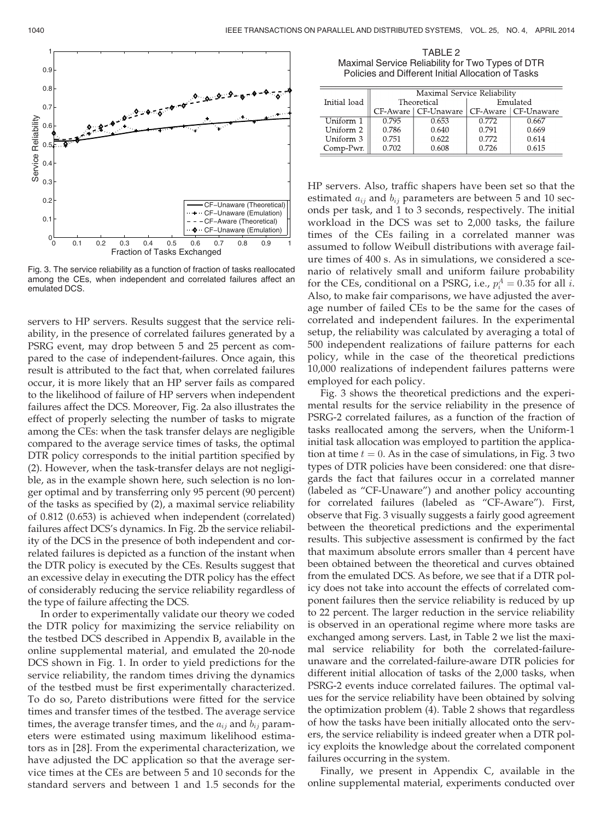

Fig. 3. The service reliability as a function of fraction of tasks reallocated among the CEs, when independent and correlated failures affect an emulated DCS.

servers to HP servers. Results suggest that the service reliability, in the presence of correlated failures generated by a PSRG event, may drop between 5 and 25 percent as compared to the case of independent-failures. Once again, this result is attributed to the fact that, when correlated failures occur, it is more likely that an HP server fails as compared to the likelihood of failure of HP servers when independent failures affect the DCS. Moreover, Fig. 2a also illustrates the effect of properly selecting the number of tasks to migrate among the CEs: when the task transfer delays are negligible compared to the average service times of tasks, the optimal DTR policy corresponds to the initial partition specified by (2). However, when the task-transfer delays are not negligible, as in the example shown here, such selection is no longer optimal and by transferring only 95 percent (90 percent) of the tasks as specified by (2), a maximal service reliability of 0.812 (0.653) is achieved when independent (correlated) failures affect DCS's dynamics. In Fig. 2b the service reliability of the DCS in the presence of both independent and correlated failures is depicted as a function of the instant when the DTR policy is executed by the CEs. Results suggest that an excessive delay in executing the DTR policy has the effect of considerably reducing the service reliability regardless of the type of failure affecting the DCS.

In order to experimentally validate our theory we coded the DTR policy for maximizing the service reliability on the testbed DCS described in Appendix B, available in the online supplemental material, and emulated the 20-node DCS shown in Fig. 1. In order to yield predictions for the service reliability, the random times driving the dynamics of the testbed must be first experimentally characterized. To do so, Pareto distributions were fitted for the service times and transfer times of the testbed. The average service times, the average transfer times, and the  $a_{ij}$  and  $b_{ij}$  parameters were estimated using maximum likelihood estimators as in [28]. From the experimental characterization, we have adjusted the DC application so that the average service times at the CEs are between 5 and 10 seconds for the standard servers and between 1 and 1.5 seconds for the

TABLE 2 Maximal Service Reliability for Two Types of DTR Policies and Different Initial Allocation of Tasks

| Initial load | Maximal Service Reliability |                                               |          |       |  |  |
|--------------|-----------------------------|-----------------------------------------------|----------|-------|--|--|
|              |                             | Theoretical                                   | Emulated |       |  |  |
|              |                             | CF-Aware   CF-Unaware   CF-Aware   CF-Unaware |          |       |  |  |
| Uniform 1    | 0.795                       | 0.653                                         | 0.772    | 0.667 |  |  |
| Uniform 2    | 0.786                       | 0.640                                         | 0.791    | 0.669 |  |  |
| Uniform 3    | 0.751                       | 0.622                                         | 0.772    | 0.614 |  |  |
| Comp-Pwr.    | 0.702                       | 0.608                                         | 0.726    | 0.615 |  |  |

HP servers. Also, traffic shapers have been set so that the estimated  $a_{ij}$  and  $b_{ij}$  parameters are between 5 and 10 seconds per task, and 1 to 3 seconds, respectively. The initial workload in the DCS was set to 2,000 tasks, the failure times of the CEs failing in a correlated manner was assumed to follow Weibull distributions with average failure times of 400 s. As in simulations, we considered a scenario of relatively small and uniform failure probability for the CEs, conditional on a PSRG, i.e.,  $p_i^A = 0.35$  for all *i*. Also, to make fair comparisons, we have adjusted the average number of failed CEs to be the same for the cases of correlated and independent failures. In the experimental setup, the reliability was calculated by averaging a total of 500 independent realizations of failure patterns for each policy, while in the case of the theoretical predictions 10,000 realizations of independent failures patterns were employed for each policy.

Fig. 3 shows the theoretical predictions and the experimental results for the service reliability in the presence of PSRG-2 correlated failures, as a function of the fraction of tasks reallocated among the servers, when the Uniform-1 initial task allocation was employed to partition the application at time  $t = 0$ . As in the case of simulations, in Fig. 3 two types of DTR policies have been considered: one that disregards the fact that failures occur in a correlated manner (labeled as "CF-Unaware") and another policy accounting for correlated failures (labeled as "CF-Aware"). First, observe that Fig. 3 visually suggests a fairly good agreement between the theoretical predictions and the experimental results. This subjective assessment is confirmed by the fact that maximum absolute errors smaller than 4 percent have been obtained between the theoretical and curves obtained from the emulated DCS. As before, we see that if a DTR policy does not take into account the effects of correlated component failures then the service reliability is reduced by up to 22 percent. The larger reduction in the service reliability is observed in an operational regime where more tasks are exchanged among servers. Last, in Table 2 we list the maximal service reliability for both the correlated-failureunaware and the correlated-failure-aware DTR policies for different initial allocation of tasks of the 2,000 tasks, when PSRG-2 events induce correlated failures. The optimal values for the service reliability have been obtained by solving the optimization problem (4). Table 2 shows that regardless of how the tasks have been initially allocated onto the servers, the service reliability is indeed greater when a DTR policy exploits the knowledge about the correlated component failures occurring in the system.

Finally, we present in Appendix C, available in the online supplemental material, experiments conducted over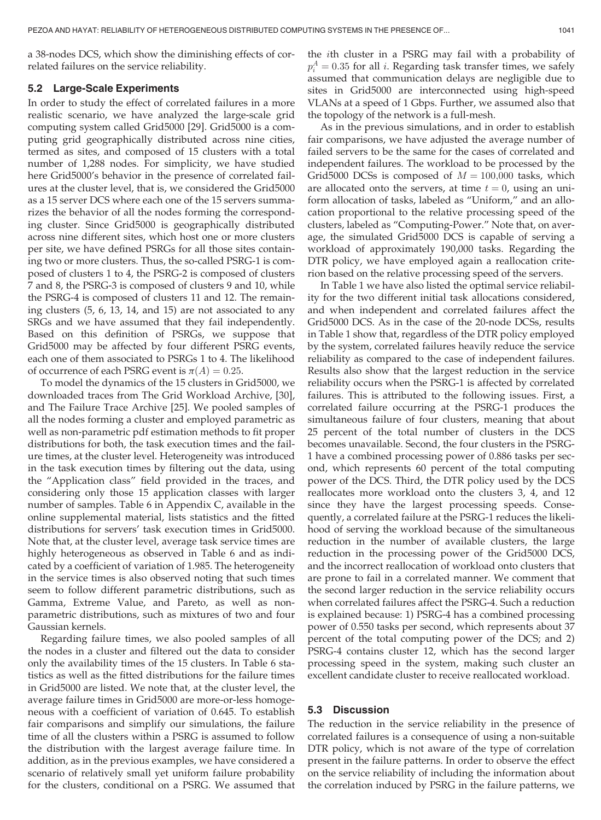a 38-nodes DCS, which show the diminishing effects of correlated failures on the service reliability.

### 5.2 Large-Scale Experiments

In order to study the effect of correlated failures in a more realistic scenario, we have analyzed the large-scale grid computing system called Grid5000 [29]. Grid5000 is a computing grid geographically distributed across nine cities, termed as sites, and composed of 15 clusters with a total number of 1,288 nodes. For simplicity, we have studied here Grid5000's behavior in the presence of correlated failures at the cluster level, that is, we considered the Grid5000 as a 15 server DCS where each one of the 15 servers summarizes the behavior of all the nodes forming the corresponding cluster. Since Grid5000 is geographically distributed across nine different sites, which host one or more clusters per site, we have defined PSRGs for all those sites containing two or more clusters. Thus, the so-called PSRG-1 is composed of clusters 1 to 4, the PSRG-2 is composed of clusters 7 and 8, the PSRG-3 is composed of clusters 9 and 10, while the PSRG-4 is composed of clusters 11 and 12. The remaining clusters (5, 6, 13, 14, and 15) are not associated to any SRGs and we have assumed that they fail independently. Based on this definition of PSRGs, we suppose that Grid5000 may be affected by four different PSRG events, each one of them associated to PSRGs 1 to 4. The likelihood of occurrence of each PSRG event is  $\pi(A) = 0.25$ .

To model the dynamics of the 15 clusters in Grid5000, we downloaded traces from The Grid Workload Archive, [30], and The Failure Trace Archive [25]. We pooled samples of all the nodes forming a cluster and employed parametric as well as non-parametric pdf estimation methods to fit proper distributions for both, the task execution times and the failure times, at the cluster level. Heterogeneity was introduced in the task execution times by filtering out the data, using the "Application class" field provided in the traces, and considering only those 15 application classes with larger number of samples. Table 6 in Appendix C, available in the online supplemental material, lists statistics and the fitted distributions for servers' task execution times in Grid5000. Note that, at the cluster level, average task service times are highly heterogeneous as observed in Table 6 and as indicated by a coefficient of variation of 1.985. The heterogeneity in the service times is also observed noting that such times seem to follow different parametric distributions, such as Gamma, Extreme Value, and Pareto, as well as nonparametric distributions, such as mixtures of two and four Gaussian kernels.

Regarding failure times, we also pooled samples of all the nodes in a cluster and filtered out the data to consider only the availability times of the 15 clusters. In Table 6 statistics as well as the fitted distributions for the failure times in Grid5000 are listed. We note that, at the cluster level, the average failure times in Grid5000 are more-or-less homogeneous with a coefficient of variation of 0.645. To establish fair comparisons and simplify our simulations, the failure time of all the clusters within a PSRG is assumed to follow the distribution with the largest average failure time. In addition, as in the previous examples, we have considered a scenario of relatively small yet uniform failure probability for the clusters, conditional on a PSRG. We assumed that

the ith cluster in a PSRG may fail with a probability of  $p_i^A = 0.35$  for all i. Regarding task transfer times, we safely assumed that communication delays are negligible due to sites in Grid5000 are interconnected using high-speed VLANs at a speed of 1 Gbps. Further, we assumed also that the topology of the network is a full-mesh.

As in the previous simulations, and in order to establish fair comparisons, we have adjusted the average number of failed servers to be the same for the cases of correlated and independent failures. The workload to be processed by the Grid5000 DCSs is composed of  $M = 100,000$  tasks, which are allocated onto the servers, at time  $t = 0$ , using an uniform allocation of tasks, labeled as "Uniform," and an allocation proportional to the relative processing speed of the clusters, labeled as "Computing-Power." Note that, on average, the simulated Grid5000 DCS is capable of serving a workload of approximately 190,000 tasks. Regarding the DTR policy, we have employed again a reallocation criterion based on the relative processing speed of the servers.

In Table 1 we have also listed the optimal service reliability for the two different initial task allocations considered, and when independent and correlated failures affect the Grid5000 DCS. As in the case of the 20-node DCSs, results in Table 1 show that, regardless of the DTR policy employed by the system, correlated failures heavily reduce the service reliability as compared to the case of independent failures. Results also show that the largest reduction in the service reliability occurs when the PSRG-1 is affected by correlated failures. This is attributed to the following issues. First, a correlated failure occurring at the PSRG-1 produces the simultaneous failure of four clusters, meaning that about 25 percent of the total number of clusters in the DCS becomes unavailable. Second, the four clusters in the PSRG-1 have a combined processing power of 0.886 tasks per second, which represents 60 percent of the total computing power of the DCS. Third, the DTR policy used by the DCS reallocates more workload onto the clusters 3, 4, and 12 since they have the largest processing speeds. Consequently, a correlated failure at the PSRG-1 reduces the likelihood of serving the workload because of the simultaneous reduction in the number of available clusters, the large reduction in the processing power of the Grid5000 DCS, and the incorrect reallocation of workload onto clusters that are prone to fail in a correlated manner. We comment that the second larger reduction in the service reliability occurs when correlated failures affect the PSRG-4. Such a reduction is explained because: 1) PSRG-4 has a combined processing power of 0.550 tasks per second, which represents about 37 percent of the total computing power of the DCS; and 2) PSRG-4 contains cluster 12, which has the second larger processing speed in the system, making such cluster an excellent candidate cluster to receive reallocated workload.

## 5.3 Discussion

The reduction in the service reliability in the presence of correlated failures is a consequence of using a non-suitable DTR policy, which is not aware of the type of correlation present in the failure patterns. In order to observe the effect on the service reliability of including the information about the correlation induced by PSRG in the failure patterns, we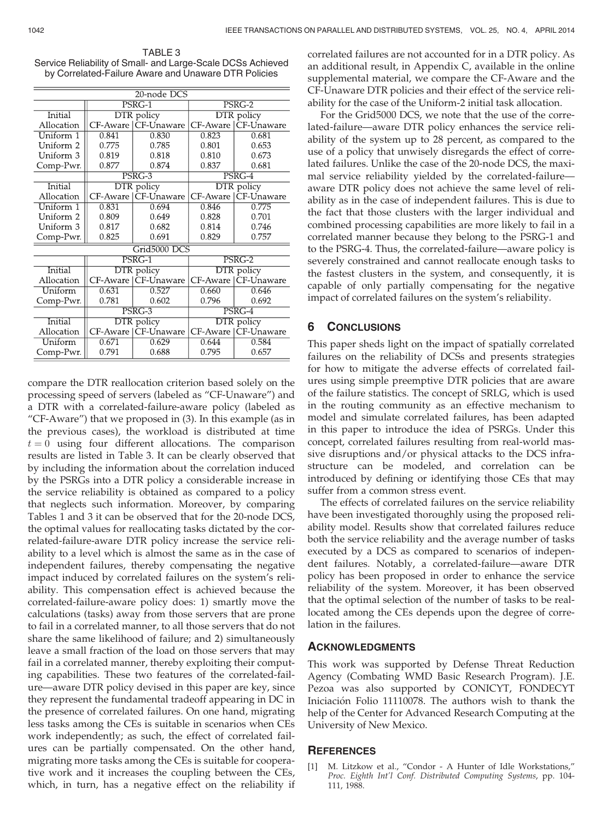| TABLE 3                                                     |
|-------------------------------------------------------------|
| Service Reliability of Small- and Large-Scale DCSs Achieved |
| by Correlated-Failure Aware and Unaware DTR Policies        |

| 20-node DCS    |                   |                                   |                   |                       |  |  |
|----------------|-------------------|-----------------------------------|-------------------|-----------------------|--|--|
|                |                   | $PSRG-1$                          | PSRG-2            |                       |  |  |
| Initial        |                   | DTR policy                        | DTR policy        |                       |  |  |
| Allocation     |                   | CF-Aware   CF-Unaware<br>CF-Aware |                   | CF-Unaware            |  |  |
| Uniform 1      | 0.841             | 0.830                             | 0.823             | 0.681                 |  |  |
| Uniform 2      | 0.775             | 0.785                             | 0.801             | 0.653                 |  |  |
| Uniform 3      | 0.819             | 0.818                             | 0.810             | 0.673                 |  |  |
| Comp-Pwr.      | 0.877             | 0.874                             | 0.837             | 0.681                 |  |  |
|                | PSRG-3            |                                   | PSRG-4            |                       |  |  |
| Initial        | <b>DTR</b> policy |                                   | <b>DTR</b> policy |                       |  |  |
| Allocation     | CF-Aware          | CF-Unaware                        | CF-Aware          | CF-Unaware            |  |  |
| Uniform 1      | 0.831             | 0.694                             | 0.846             | 0.775                 |  |  |
| Uniform 2      | 0.809             | 0.649                             | 0.828             | 0.701                 |  |  |
| Uniform 3      | 0.817             | 0.682                             | 0.814             | 0.746                 |  |  |
| Comp-Pwr.      | 0.825             | 0.691                             | 0.829             | 0.757                 |  |  |
| Grid5000 DCS   |                   |                                   |                   |                       |  |  |
|                | PSRG-1            |                                   | PSRG-2            |                       |  |  |
| Initial        | <b>DTR</b> policy |                                   | <b>DTR</b> policy |                       |  |  |
| Allocation     |                   | CF-Aware   CF-Unaware             |                   | CF-Aware   CF-Unaware |  |  |
| Uniform        | 0.631             | 0.527                             | 0.660             | 0.646                 |  |  |
| Comp-Pwr.      | 0.781             | 0.602                             | 0.796             | 0.692                 |  |  |
|                | PSRG-3            |                                   | PSRG-4            |                       |  |  |
| <b>Initial</b> |                   | <b>DTR</b> policy                 | <b>DTR</b> policy |                       |  |  |
| Allocation     |                   | CF-Aware   CF-Unaware             |                   | CF-Aware   CF-Unaware |  |  |
| Uniform        | 0.671             | 0.629                             | 0.644             | 0.584                 |  |  |
| Comp-Pwr.      | 0.791             | 0.688                             | 0.795             | 0.657                 |  |  |

compare the DTR reallocation criterion based solely on the processing speed of servers (labeled as "CF-Unaware") and a DTR with a correlated-failure-aware policy (labeled as "CF-Aware") that we proposed in (3). In this example (as in the previous cases), the workload is distributed at time  $t = 0$  using four different allocations. The comparison results are listed in Table 3. It can be clearly observed that by including the information about the correlation induced by the PSRGs into a DTR policy a considerable increase in the service reliability is obtained as compared to a policy that neglects such information. Moreover, by comparing Tables 1 and 3 it can be observed that for the 20-node DCS, the optimal values for reallocating tasks dictated by the correlated-failure-aware DTR policy increase the service reliability to a level which is almost the same as in the case of independent failures, thereby compensating the negative impact induced by correlated failures on the system's reliability. This compensation effect is achieved because the correlated-failure-aware policy does: 1) smartly move the calculations (tasks) away from those servers that are prone to fail in a correlated manner, to all those servers that do not share the same likelihood of failure; and 2) simultaneously leave a small fraction of the load on those servers that may fail in a correlated manner, thereby exploiting their computing capabilities. These two features of the correlated-failure—aware DTR policy devised in this paper are key, since they represent the fundamental tradeoff appearing in DC in the presence of correlated failures. On one hand, migrating less tasks among the CEs is suitable in scenarios when CEs work independently; as such, the effect of correlated failures can be partially compensated. On the other hand, migrating more tasks among the CEs is suitable for cooperative work and it increases the coupling between the CEs, which, in turn, has a negative effect on the reliability if correlated failures are not accounted for in a DTR policy. As an additional result, in Appendix C, available in the online supplemental material, we compare the CF-Aware and the CF-Unaware DTR policies and their effect of the service reliability for the case of the Uniform-2 initial task allocation.

For the Grid5000 DCS, we note that the use of the correlated-failure—aware DTR policy enhances the service reliability of the system up to 28 percent, as compared to the use of a policy that unwisely disregards the effect of correlated failures. Unlike the case of the 20-node DCS, the maximal service reliability yielded by the correlated-failure aware DTR policy does not achieve the same level of reliability as in the case of independent failures. This is due to the fact that those clusters with the larger individual and combined processing capabilities are more likely to fail in a correlated manner because they belong to the PSRG-1 and to the PSRG-4. Thus, the correlated-failure—aware policy is severely constrained and cannot reallocate enough tasks to the fastest clusters in the system, and consequently, it is capable of only partially compensating for the negative impact of correlated failures on the system's reliability.

### **CONCLUSIONS**

This paper sheds light on the impact of spatially correlated failures on the reliability of DCSs and presents strategies for how to mitigate the adverse effects of correlated failures using simple preemptive DTR policies that are aware of the failure statistics. The concept of SRLG, which is used in the routing community as an effective mechanism to model and simulate correlated failures, has been adapted in this paper to introduce the idea of PSRGs. Under this concept, correlated failures resulting from real-world massive disruptions and/or physical attacks to the DCS infrastructure can be modeled, and correlation can be introduced by defining or identifying those CEs that may suffer from a common stress event.

The effects of correlated failures on the service reliability have been investigated thoroughly using the proposed reliability model. Results show that correlated failures reduce both the service reliability and the average number of tasks executed by a DCS as compared to scenarios of independent failures. Notably, a correlated-failure—aware DTR policy has been proposed in order to enhance the service reliability of the system. Moreover, it has been observed that the optimal selection of the number of tasks to be reallocated among the CEs depends upon the degree of correlation in the failures.

#### ACKNOWLEDGMENTS

This work was supported by Defense Threat Reduction Agency (Combating WMD Basic Research Program). J.E. Pezoa was also supported by CONICYT, FONDECYT Iniciación Folio 11110078. The authors wish to thank the help of the Center for Advanced Research Computing at the University of New Mexico.

#### **REFERENCES**

M. Litzkow et al., "Condor - A Hunter of Idle Workstations," Proc. Eighth Int'l Conf. Distributed Computing Systems, pp. 104- 111, 1988.